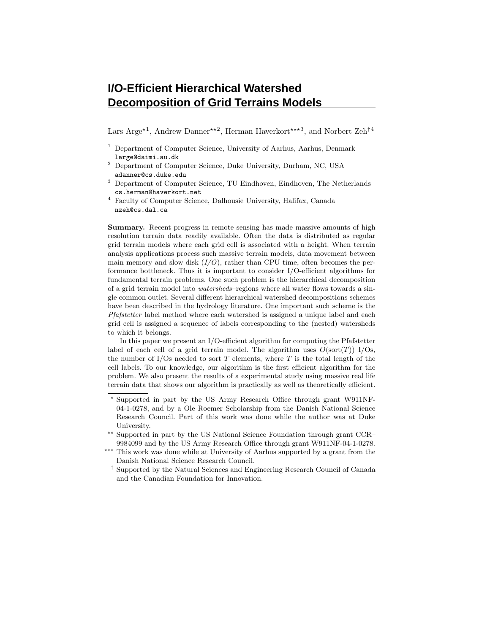# **I/O-Efficient Hierarchical Watershed Decomposition of Grid Terrains Models**

Lars Arge<sup>\*1</sup>, Andrew Danner<sup>\*\*2</sup>, Herman Haverkort\*\*\*<sup>3</sup>, and Norbert Zeh<sup>†4</sup>

- <sup>1</sup> Department of Computer Science, University of Aarhus, Aarhus, Denmark large@daimi.au.dk
- <sup>2</sup> Department of Computer Science, Duke University, Durham, NC, USA adanner@cs.duke.edu
- <sup>3</sup> Department of Computer Science, TU Eindhoven, Eindhoven, The Netherlands cs.herman@haverkort.net
- <sup>4</sup> Faculty of Computer Science, Dalhousie University, Halifax, Canada nzeh@cs.dal.ca

Summary. Recent progress in remote sensing has made massive amounts of high resolution terrain data readily available. Often the data is distributed as regular grid terrain models where each grid cell is associated with a height. When terrain analysis applications process such massive terrain models, data movement between main memory and slow disk  $(I/O)$ , rather than CPU time, often becomes the performance bottleneck. Thus it is important to consider I/O-efficient algorithms for fundamental terrain problems. One such problem is the hierarchical decomposition of a grid terrain model into watersheds–regions where all water flows towards a single common outlet. Several different hierarchical watershed decompositions schemes have been described in the hydrology literature. One important such scheme is the Pfafstetter label method where each watershed is assigned a unique label and each grid cell is assigned a sequence of labels corresponding to the (nested) watersheds to which it belongs.

In this paper we present an I/O-efficient algorithm for computing the Pfafstetter label of each cell of a grid terrain model. The algorithm uses  $O(\text{sort}(T))$  I/Os, the number of I/Os needed to sort T elements, where T is the total length of the cell labels. To our knowledge, our algorithm is the first efficient algorithm for the problem. We also present the results of a experimental study using massive real life terrain data that shows our algorithm is practically as well as theoretically efficient.

<sup>?</sup> Supported in part by the US Army Research Office through grant W911NF-04-1-0278, and by a Ole Roemer Scholarship from the Danish National Science Research Council. Part of this work was done while the author was at Duke University.

<sup>\*\*</sup> Supported in part by the US National Science Foundation through grant CCR– 9984099 and by the US Army Research Office through grant W911NF-04-1-0278.

<sup>\*\*\*</sup> This work was done while at University of Aarhus supported by a grant from the Danish National Science Research Council.

<sup>†</sup> Supported by the Natural Sciences and Engineering Research Council of Canada and the Canadian Foundation for Innovation.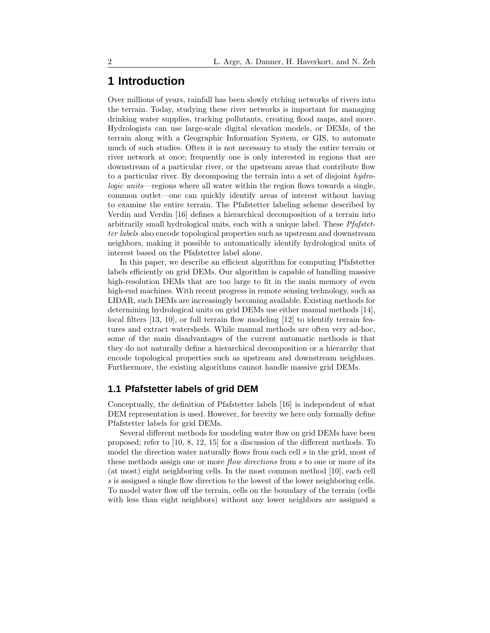## **1 Introduction**

Over millions of years, rainfall has been slowly etching networks of rivers into the terrain. Today, studying these river networks is important for managing drinking water supplies, tracking pollutants, creating flood maps, and more. Hydrologists can use large-scale digital elevation models, or DEMs, of the terrain along with a Geographic Information System, or GIS, to automate much of such studies. Often it is not necessary to study the entire terrain or river network at once; frequently one is only interested in regions that are downstream of a particular river, or the upstream areas that contribute flow to a particular river. By decomposing the terrain into a set of disjoint hydrologic units—regions where all water within the region flows towards a single, common outlet—one can quickly identify areas of interest without having to examine the entire terrain. The Pfafstetter labeling scheme described by Verdin and Verdin [16] defines a hierarchical decomposition of a terrain into arbitrarily small hydrological units, each with a unique label. These Pfafstetter labels also encode topological properties such as upstream and downstream neighbors, making it possible to automatically identify hydrological units of interest based on the Pfafstetter label alone.

In this paper, we describe an efficient algorithm for computing Pfafstetter labels efficiently on grid DEMs. Our algorithm is capable of handling massive high-resolution DEMs that are too large to fit in the main memory of even high-end machines. With recent progress in remote sensing technology, such as LIDAR, such DEMs are increasingly becoming available. Existing methods for determining hydrological units on grid DEMs use either manual methods [14], local filters [13, 10], or full terrain flow modeling [12] to identify terrain features and extract watersheds. While manual methods are often very ad-hoc, some of the main disadvantages of the current automatic methods is that they do not naturally define a hierarchical decomposition or a hierarchy that encode topological properties such as upstream and downstream neighbors. Furthermore, the existing algorithms cannot handle massive grid DEMs.

### **1.1 Pfafstetter labels of grid DEM**

Conceptually, the definition of Pfafstetter labels [16] is independent of what DEM representation is used. However, for brevity we here only formally define Pfafstetter labels for grid DEMs.

Several different methods for modeling water flow on grid DEMs have been proposed; refer to [10, 8, 12, 15] for a discussion of the different methods. To model the direction water naturally flows from each cell  $s$  in the grid, most of these methods assign one or more *flow directions* from s to one or more of its (at most) eight neighboring cells. In the most common method [10], each cell s is assigned a single flow direction to the lowest of the lower neighboring cells. To model water flow off the terrain, cells on the boundary of the terrain (cells with less than eight neighbors) without any lower neighbors are assigned a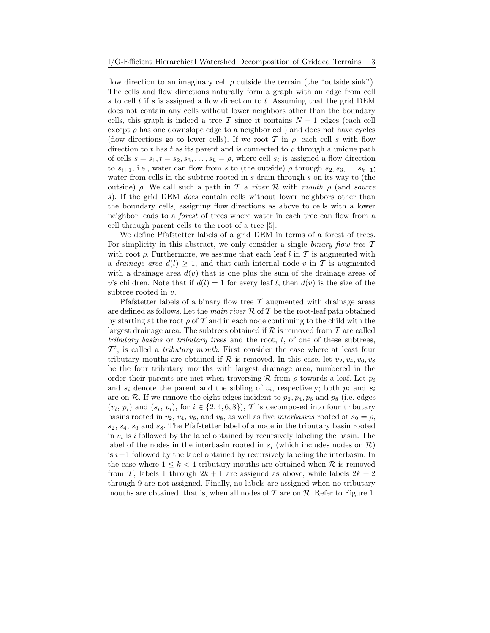flow direction to an imaginary cell  $\rho$  outside the terrain (the "outside sink"). The cells and flow directions naturally form a graph with an edge from cell s to cell  $t$  if  $s$  is assigned a flow direction to  $t$ . Assuming that the grid DEM does not contain any cells without lower neighbors other than the boundary cells, this graph is indeed a tree T since it contains  $N-1$  edges (each cell except  $\rho$  has one downslope edge to a neighbor cell) and does not have cycles (flow directions go to lower cells). If we root  $\mathcal T$  in  $\rho$ , each cell s with flow direction to t has t as its parent and is connected to  $\rho$  through a unique path of cells  $s = s_1, t = s_2, s_3, \ldots, s_k = \rho$ , where cell  $s_i$  is assigned a flow direction to  $s_{i+1}$ , i.e., water can flow from s to (the outside)  $\rho$  through  $s_2, s_3, \ldots s_{k-1}$ ; water from cells in the subtree rooted in s drain through s on its way to (the outside)  $\rho$ . We call such a path in T a river R with mouth  $\rho$  (and source s). If the grid DEM *does* contain cells without lower neighbors other than the boundary cells, assigning flow directions as above to cells with a lower neighbor leads to a forest of trees where water in each tree can flow from a cell through parent cells to the root of a tree [5].

We define Pfafstetter labels of a grid DEM in terms of a forest of trees. For simplicity in this abstract, we only consider a single binary flow tree  $\mathcal T$ with root  $\rho$ . Furthermore, we assume that each leaf l in T is augmented with a drainage area  $d(l) \geq 1$ , and that each internal node v in T is augmented with a drainage area  $d(v)$  that is one plus the sum of the drainage areas of v's children. Note that if  $d(l) = 1$  for every leaf l, then  $d(v)$  is the size of the subtree rooted in v.

Pfafstetter labels of a binary flow tree  $\mathcal T$  augmented with drainage areas are defined as follows. Let the *main river*  $\mathcal R$  of  $\mathcal T$  be the root-leaf path obtained by starting at the root  $\rho$  of  $\mathcal T$  and in each node continuing to the child with the largest drainage area. The subtrees obtained if  $\mathcal R$  is removed from  $\mathcal T$  are called tributary basins or tributary trees and the root, t, of one of these subtrees,  $\mathcal{T}^t$ , is called a *tributary mouth*. First consider the case where at least four tributary mouths are obtained if R is removed. In this case, let  $v_2, v_4, v_6, v_8$ be the four tributary mouths with largest drainage area, numbered in the order their parents are met when traversing  $R$  from  $\rho$  towards a leaf. Let  $p_i$ and  $s_i$  denote the parent and the sibling of  $v_i$ , respectively; both  $p_i$  and  $s_i$ are on R. If we remove the eight edges incident to  $p_2, p_4, p_6$  and  $p_8$  (i.e. edges  $(v_i, p_i)$  and  $(s_i, p_i)$ , for  $i \in \{2, 4, 6, 8\}$ , T is decomposed into four tributary basins rooted in  $v_2$ ,  $v_4$ ,  $v_6$ , and  $v_8$ , as well as five *interbasins* rooted at  $s_0 = \rho$ ,  $s_2, s_4, s_6$  and  $s_8$ . The Pfafstetter label of a node in the tributary basin rooted in  $v_i$  is i followed by the label obtained by recursively labeling the basin. The label of the nodes in the interbasin rooted in  $s_i$  (which includes nodes on  $\mathcal{R}$ ) is  $i+1$  followed by the label obtained by recursively labeling the interbasin. In the case where  $1 \leq k \leq 4$  tributary mouths are obtained when R is removed from T, labels 1 through  $2k + 1$  are assigned as above, while labels  $2k + 2$ through 9 are not assigned. Finally, no labels are assigned when no tributary mouths are obtained, that is, when all nodes of  $\mathcal T$  are on  $\mathcal R$ . Refer to Figure 1.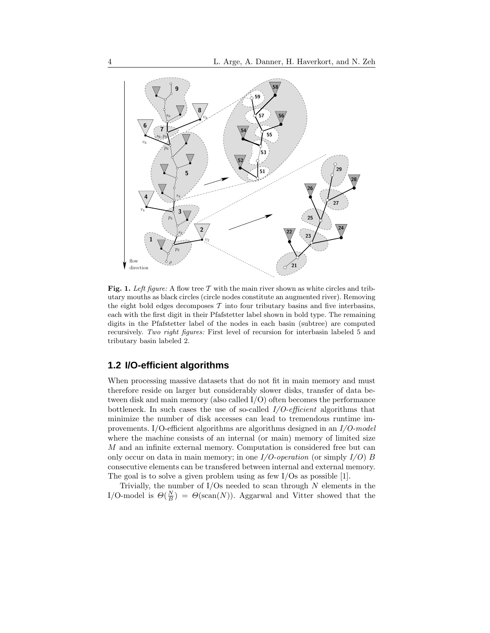

Fig. 1. Left figure: A flow tree T with the main river shown as white circles and tributary mouths as black circles (circle nodes constitute an augmented river). Removing the eight bold edges decomposes  $\mathcal T$  into four tributary basins and five interbasins, each with the first digit in their Pfafstetter label shown in bold type. The remaining digits in the Pfafstetter label of the nodes in each basin (subtree) are computed recursively. Two right figures: First level of recursion for interbasin labeled 5 and tributary basin labeled 2.

## **1.2 I/O-efficient algorithms**

When processing massive datasets that do not fit in main memory and must therefore reside on larger but considerably slower disks, transfer of data between disk and main memory (also called I/O) often becomes the performance bottleneck. In such cases the use of so-called  $I/O$ -efficient algorithms that minimize the number of disk accesses can lead to tremendous runtime improvements. I/O-efficient algorithms are algorithms designed in an  $I/O$ -model where the machine consists of an internal (or main) memory of limited size  $M$  and an infinite external memory. Computation is considered free but can only occur on data in main memory; in one  $I/O\text{-}operation$  (or simply  $I/O$ ) B consecutive elements can be transfered between internal and external memory. The goal is to solve a given problem using as few I/Os as possible [1].

Trivially, the number of  $I/Os$  needed to scan through  $N$  elements in the I/O-model is  $\Theta(\frac{N}{B}) = \Theta(\text{scan}(N))$ . Aggarwal and Vitter showed that the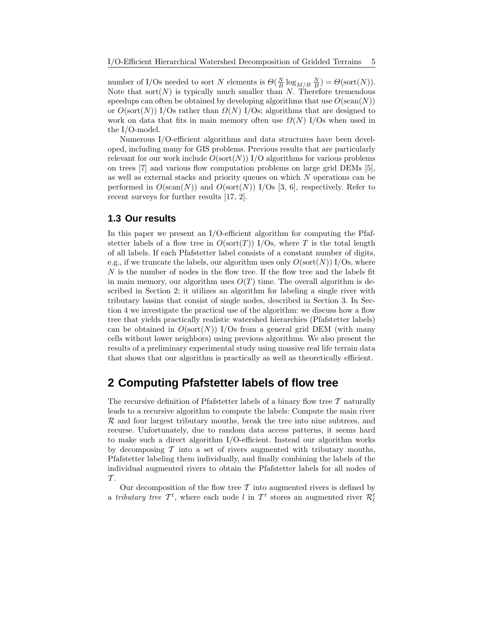number of I/Os needed to sort N elements is  $\Theta(\frac{N}{B}\log_{M/B}\frac{N}{B}) = \Theta(\text{sort}(N)).$ Note that  $sort(N)$  is typically much smaller than N. Therefore tremendous speedups can often be obtained by developing algorithms that use  $O(\text{scan}(N))$ or  $O(\text{sort}(N))$  I/Os rather than  $\Omega(N)$  I/Os; algorithms that are designed to work on data that fits in main memory often use  $\Omega(N)$  I/Os when used in the I/O-model.

Numerous I/O-efficient algorithms and data structures have been developed, including many for GIS problems. Previous results that are particularly relevant for our work include  $O(\text{sort}(N))$  I/O algorithms for various problems on trees [7] and various flow computation problems on large grid DEMs [5], as well as external stacks and priority queues on which N operations can be performed in  $O(\text{scan}(N))$  and  $O(\text{sort}(N))$  I/Os [3, 6], respectively. Refer to recent surveys for further results [17, 2].

#### **1.3 Our results**

In this paper we present an I/O-efficient algorithm for computing the Pfafstetter labels of a flow tree in  $O(\text{sort}(T))$  I/Os, where T is the total length of all labels. If each Pfafstetter label consists of a constant number of digits, e.g., if we truncate the labels, our algorithm uses only  $O(\text{sort}(N))$  I/Os, where  $N$  is the number of nodes in the flow tree. If the flow tree and the labels fit in main memory, our algorithm uses  $O(T)$  time. The overall algorithm is described in Section 2; it utilizes an algorithm for labeling a single river with tributary basins that consist of single nodes, described in Section 3. In Section 4 we investigate the practical use of the algorithm: we discuss how a flow tree that yields practically realistic watershed hierarchies (Pfafstetter labels) can be obtained in  $O(\text{sort}(N))$  I/Os from a general grid DEM (with many cells without lower neighbors) using previous algorithms. We also present the results of a preliminary experimental study using massive real life terrain data that shows that our algorithm is practically as well as theoretically efficient.

## **2 Computing Pfafstetter labels of flow tree**

The recursive definition of Pfafstetter labels of a binary flow tree  $\mathcal T$  naturally leads to a recursive algorithm to compute the labels: Compute the main river  $\mathcal R$  and four largest tributary mouths, break the tree into nine subtrees, and recurse. Unfortunately, due to random data access patterns, it seems hard to make such a direct algorithm I/O-efficient. Instead our algorithm works by decomposing  $\mathcal T$  into a set of rivers augmented with tributary mouths, Pfafstetter labeling them individually, and finally combining the labels of the individual augmented rivers to obtain the Pfafstetter labels for all nodes of  $\mathcal{T}$ .

Our decomposition of the flow tree  $\mathcal T$  into augmented rivers is defined by a *tributary tree*  $\mathcal{T}^t$ , where each node l in  $\mathcal{T}^t$  stores an augmented river  $\mathcal{R}_l^t$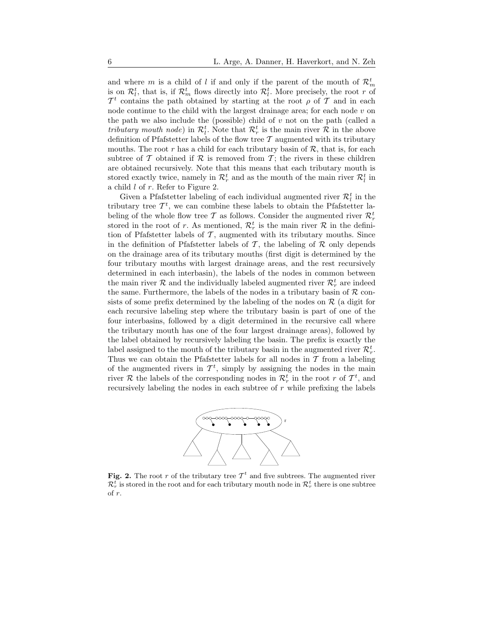and where m is a child of l if and only if the parent of the mouth of  $\mathcal{R}_m^t$ is on  $\mathcal{R}_l^t$ , that is, if  $\mathcal{R}_m^t$  flows directly into  $\mathcal{R}_l^t$ . More precisely, the root r of  $\mathcal{T}^t$  contains the path obtained by starting at the root  $\rho$  of  $\mathcal T$  and in each node continue to the child with the largest drainage area; for each node  $v$  on the path we also include the (possible) child of  $v$  not on the path (called a tributary mouth node) in  $\mathcal{R}_l^t$ . Note that  $\mathcal{R}_r^t$  is the main river  $\mathcal R$  in the above definition of Pfafstetter labels of the flow tree  $\mathcal T$  augmented with its tributary mouths. The root r has a child for each tributary basin of  $R$ , that is, for each subtree of  $\mathcal T$  obtained if  $\mathcal R$  is removed from  $\mathcal T$ ; the rivers in these children are obtained recursively. Note that this means that each tributary mouth is stored exactly twice, namely in  $\mathcal{R}_r^t$  and as the mouth of the main river  $\mathcal{R}_l^t$  in a child l of r. Refer to Figure 2.

Given a Pfafstetter labeling of each individual augmented river  $\mathcal{R}_l^t$  in the tributary tree  $\mathcal{T}^t$ , we can combine these labels to obtain the Pfafstetter labeling of the whole flow tree  $T$  as follows. Consider the augmented river  $\mathcal{R}_r^t$ stored in the root of r. As mentioned,  $\mathcal{R}_r^t$  is the main river  $\mathcal R$  in the definition of Pfafstetter labels of  $\mathcal T$ , augmented with its tributary mouths. Since in the definition of Pfafstetter labels of  $\mathcal T$ , the labeling of  $\mathcal R$  only depends on the drainage area of its tributary mouths (first digit is determined by the four tributary mouths with largest drainage areas, and the rest recursively determined in each interbasin), the labels of the nodes in common between the main river  $\mathcal{R}$  and the individually labeled augmented river  $\mathcal{R}_r^t$  are indeed the same. Furthermore, the labels of the nodes in a tributary basin of  $R$  consists of some prefix determined by the labeling of the nodes on  $\mathcal R$  (a digit for each recursive labeling step where the tributary basin is part of one of the four interbasins, followed by a digit determined in the recursive call where the tributary mouth has one of the four largest drainage areas), followed by the label obtained by recursively labeling the basin. The prefix is exactly the label assigned to the mouth of the tributary basin in the augmented river  $\mathcal{R}_r^t$ . Thus we can obtain the Pfafstetter labels for all nodes in  $\mathcal T$  from a labeling of the augmented rivers in  $\mathcal{T}^t$ , simply by assigning the nodes in the main river R the labels of the corresponding nodes in  $\mathcal{R}_r^t$  in the root r of  $\mathcal{T}^t$ , and recursively labeling the nodes in each subtree of  $r$  while prefixing the labels



Fig. 2. The root r of the tributary tree  $\mathcal{T}^t$  and five subtrees. The augmented river  $\mathcal{R}_r^t$  is stored in the root and for each tributary mouth node in  $\mathcal{R}_r^t$  there is one subtree of r.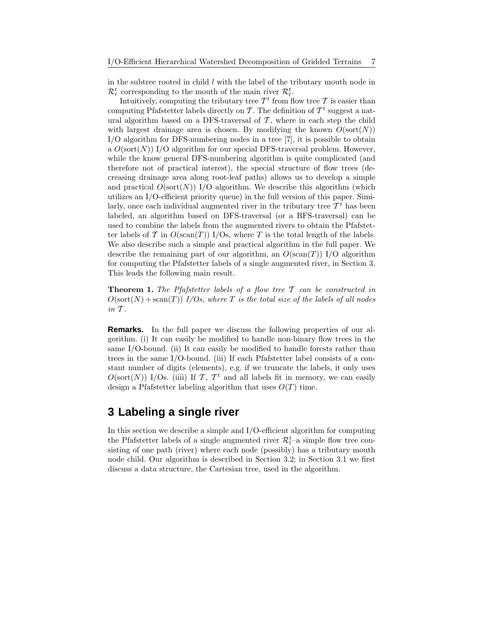in the subtree rooted in child  $l$  with the label of the tributary mouth node in  $\mathcal{R}_r^t$  corresponding to the mouth of the main river  $\mathcal{R}_l^t$ .

Intuitively, computing the tributary tree  $\mathcal{T}^t$  from flow tree  $\mathcal{T}$  is easier than computing Pfafstetter labels directly on T. The definition of  $\mathcal{T}^t$  suggest a natural algorithm based on a DFS-traversal of  $\mathcal T$ , where in each step the child with largest drainage area is chosen. By modifying the known  $O(\text{sort}(N))$ I/O algorithm for DFS-numbering nodes in a tree [7], it is possible to obtain a  $O(\text{sort}(N))$  I/O algorithm for our special DFS-traversal problem. However, while the know general DFS-numbering algorithm is quite complicated (and therefore not of practical interest), the special structure of flow trees (decreasing drainage area along root-leaf paths) allows us to develop a simple and practical  $O(\text{sort}(N))$  I/O algorithm. We describe this algorithm (which utilizes an I/O-efficient priority queue) in the full version of this paper. Similarly, once each individual augmented river in the tributary tree  $\mathcal{T}^t$  has been labeled, an algorithm based on DFS-traversal (or a BFS-traversal) can be used to combine the labels from the augmented rivers to obtain the Pfafstetter labels of T in  $O(\text{scan}(T))$  I/Os, where T is the total length of the labels. We also describe such a simple and practical algorithm in the full paper. We describe the remaining part of our algorithm, an  $O(\text{scan}(T))$  I/O algorithm for computing the Pfafstetter labels of a single augmented river, in Section 3. This leads the following main result.

**Theorem 1.** The Pfafstetter labels of a flow tree  $T$  can be constructed in  $O(\text{sort}(N) + \text{scan}(T))$  I/Os, where T is the total size of the labels of all nodes  $in \mathcal{T}$ .

**Remarks.** In the full paper we discuss the following properties of our algorithm. (i) It can easily be modified to handle non-binary flow trees in the same I/O-bound. (ii) It can easily be modified to handle forests rather than trees in the same I/O-bound. (iii) If each Pfafstetter label consists of a constant number of digits (elements), e.g. if we truncate the labels, it only uses  $O(\text{sort}(N))$  I/Os. (iiii) If T, T<sup>t</sup> and all labels fit in memory, we can easily design a Pfafstetter labeling algorithm that uses  $O(T)$  time.

# **3 Labeling a single river**

In this section we describe a simple and I/O-efficient algorithm for computing the Pfafstetter labels of a single augmented river  $\mathcal{R}_l^t$ -a simple flow tree consisting of one path (river) where each node (possibly) has a tributary mouth node child. Our algorithm is described in Section 3.2; in Section 3.1 we first discuss a data structure, the Cartesian tree, used in the algorithm.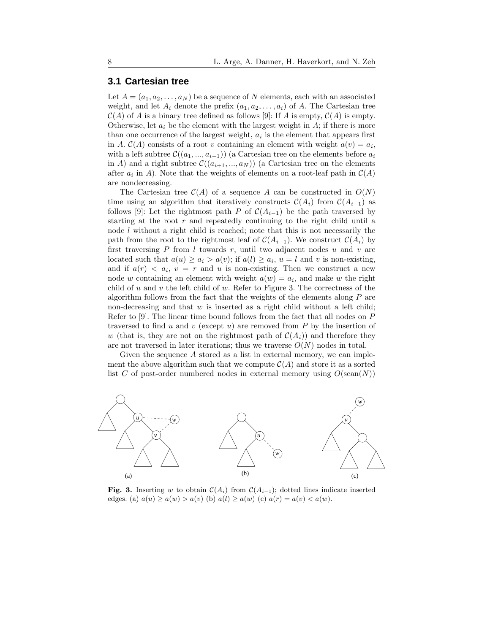#### **3.1 Cartesian tree**

Let  $A = (a_1, a_2, \dots, a_N)$  be a sequence of N elements, each with an associated weight, and let  $A_i$  denote the prefix  $(a_1, a_2, \ldots, a_i)$  of A. The Cartesian tree  $\mathcal{C}(A)$  of A is a binary tree defined as follows [9]: If A is empty,  $\mathcal{C}(A)$  is empty. Otherwise, let  $a_i$  be the element with the largest weight in A; if there is more than one occurrence of the largest weight,  $a_i$  is the element that appears first in A.  $\mathcal{C}(A)$  consists of a root v containing an element with weight  $a(v) = a_i$ , with a left subtree  $\mathcal{C}((a_1, ..., a_{i-1}))$  (a Cartesian tree on the elements before  $a_i$ in A) and a right subtree  $\mathcal{C}((a_{i+1},...,a_N))$  (a Cartesian tree on the elements after  $a_i$  in A). Note that the weights of elements on a root-leaf path in  $\mathcal{C}(A)$ are nondecreasing.

The Cartesian tree  $\mathcal{C}(A)$  of a sequence A can be constructed in  $O(N)$ time using an algorithm that iteratively constructs  $\mathcal{C}(A_i)$  from  $\mathcal{C}(A_{i-1})$  as follows [9]: Let the rightmost path P of  $\mathcal{C}(A_{i-1})$  be the path traversed by starting at the root  $r$  and repeatedly continuing to the right child until a node l without a right child is reached; note that this is not necessarily the path from the root to the rightmost leaf of  $\mathcal{C}(A_{i-1})$ . We construct  $\mathcal{C}(A_i)$  by first traversing  $P$  from  $l$  towards  $r$ , until two adjacent nodes  $u$  and  $v$  are located such that  $a(u) \ge a_i > a(v)$ ; if  $a(l) \ge a_i$ ,  $u = l$  and v is non-existing, and if  $a(r) < a_i$ ,  $v = r$  and u is non-existing. Then we construct a new node w containing an element with weight  $a(w) = a_i$ , and make w the right child of u and v the left child of w. Refer to Figure 3. The correctness of the algorithm follows from the fact that the weights of the elements along  $P$  are non-decreasing and that  $w$  is inserted as a right child without a left child; Refer to [9]. The linear time bound follows from the fact that all nodes on P traversed to find u and v (except u) are removed from  $P$  by the insertion of w (that is, they are not on the rightmost path of  $\mathcal{C}(A_i)$ ) and therefore they are not traversed in later iterations; thus we traverse  $O(N)$  nodes in total.

Given the sequence A stored as a list in external memory, we can implement the above algorithm such that we compute  $\mathcal{C}(A)$  and store it as a sorted list C of post-order numbered nodes in external memory using  $O(\text{scan}(N))$ 



Fig. 3. Inserting w to obtain  $\mathcal{C}(A_i)$  from  $\mathcal{C}(A_{i-1})$ ; dotted lines indicate inserted edges. (a)  $a(u) \ge a(w) > a(v)$  (b)  $a(l) \ge a(w)$  (c)  $a(r) = a(v) < a(w)$ .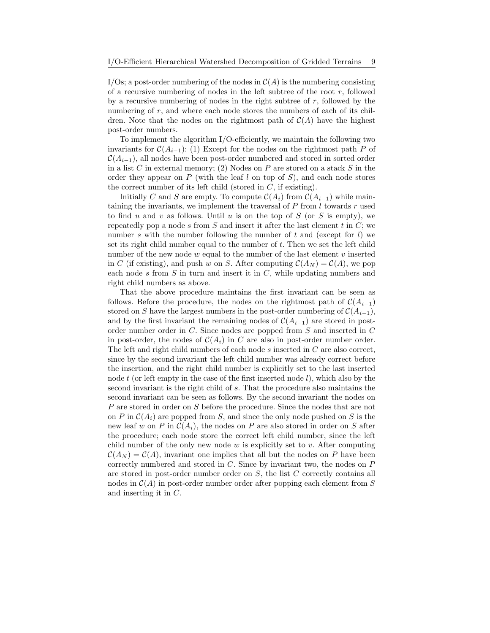I/Os; a post-order numbering of the nodes in  $\mathcal{C}(A)$  is the numbering consisting of a recursive numbering of nodes in the left subtree of the root  $r$ , followed by a recursive numbering of nodes in the right subtree of  $r$ , followed by the numbering of  $r$ , and where each node stores the numbers of each of its children. Note that the nodes on the rightmost path of  $\mathcal{C}(A)$  have the highest post-order numbers.

To implement the algorithm I/O-efficiently, we maintain the following two invariants for  $C(A_{i-1})$ : (1) Except for the nodes on the rightmost path P of  $\mathcal{C}(A_{i-1})$ , all nodes have been post-order numbered and stored in sorted order in a list C in external memory; (2) Nodes on P are stored on a stack S in the order they appear on  $P$  (with the leaf l on top of  $S$ ), and each node stores the correct number of its left child (stored in  $C$ , if existing).

Initially C and S are empty. To compute  $\mathcal{C}(A_i)$  from  $\mathcal{C}(A_{i-1})$  while maintaining the invariants, we implement the traversal of  $P$  from  $l$  towards  $r$  used to find u and v as follows. Until u is on the top of  $S$  (or  $S$  is empty), we repeatedly pop a node s from S and insert it after the last element t in  $C$ ; we number s with the number following the number of t and (except for  $l$ ) we set its right child number equal to the number of  $t$ . Then we set the left child number of the new node  $w$  equal to the number of the last element  $v$  inserted in C (if existing), and push w on S. After computing  $\mathcal{C}(A_N) = \mathcal{C}(A)$ , we pop each node  $s$  from  $S$  in turn and insert it in  $C$ , while updating numbers and right child numbers as above.

That the above procedure maintains the first invariant can be seen as follows. Before the procedure, the nodes on the rightmost path of  $\mathcal{C}(A_{i-1})$ stored on S have the largest numbers in the post-order numbering of  $\mathcal{C}(A_{i-1}),$ and by the first invariant the remaining nodes of  $\mathcal{C}(A_{i-1})$  are stored in postorder number order in C. Since nodes are popped from S and inserted in C in post-order, the nodes of  $\mathcal{C}(A_i)$  in C are also in post-order number order. The left and right child numbers of each node s inserted in C are also correct, since by the second invariant the left child number was already correct before the insertion, and the right child number is explicitly set to the last inserted node  $t$  (or left empty in the case of the first inserted node  $l$ ), which also by the second invariant is the right child of s. That the procedure also maintains the second invariant can be seen as follows. By the second invariant the nodes on P are stored in order on S before the procedure. Since the nodes that are not on P in  $\mathcal{C}(A_i)$  are popped from S, and since the only node pushed on S is the new leaf w on P in  $\mathcal{C}(A_i)$ , the nodes on P are also stored in order on S after the procedure; each node store the correct left child number, since the left child number of the only new node  $w$  is explicitly set to  $v$ . After computing  $\mathcal{C}(A_N) = \mathcal{C}(A)$ , invariant one implies that all but the nodes on P have been correctly numbered and stored in C. Since by invariant two, the nodes on P are stored in post-order number order on S, the list C correctly contains all nodes in  $C(A)$  in post-order number order after popping each element from S and inserting it in C.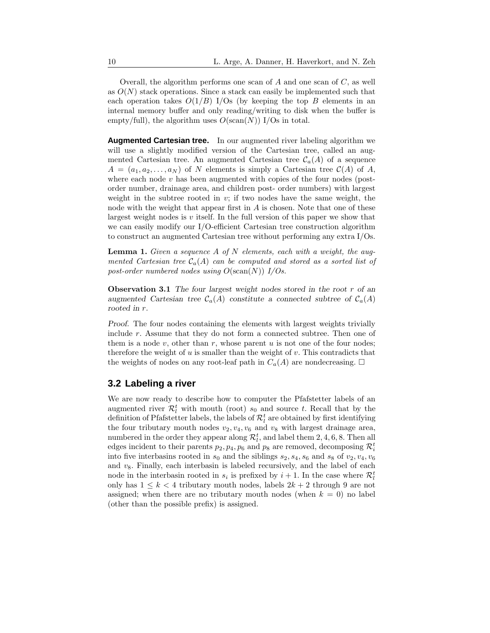Overall, the algorithm performs one scan of  $A$  and one scan of  $C$ , as well as  $O(N)$  stack operations. Since a stack can easily be implemented such that each operation takes  $O(1/B)$  I/Os (by keeping the top B elements in an internal memory buffer and only reading/writing to disk when the buffer is empty/full), the algorithm uses  $O(\operatorname{scan}(N))$  I/Os in total.

**Augmented Cartesian tree.** In our augmented river labeling algorithm we will use a slightly modified version of the Cartesian tree, called an augmented Cartesian tree. An augmented Cartesian tree  $\mathcal{C}_a(A)$  of a sequence  $A = (a_1, a_2, \ldots, a_N)$  of N elements is simply a Cartesian tree  $C(A)$  of A, where each node  $v$  has been augmented with copies of the four nodes (postorder number, drainage area, and children post- order numbers) with largest weight in the subtree rooted in  $v$ ; if two nodes have the same weight, the node with the weight that appear first in  $A$  is chosen. Note that one of these largest weight nodes is  $v$  itself. In the full version of this paper we show that we can easily modify our I/O-efficient Cartesian tree construction algorithm to construct an augmented Cartesian tree without performing any extra I/Os.

**Lemma 1.** Given a sequence  $A$  of  $N$  elements, each with a weight, the augmented Cartesian tree  $C_a(A)$  can be computed and stored as a sorted list of post-order numbered nodes using  $O(\text{scan}(N))$  I/Os.

**Observation 3.1** The four largest weight nodes stored in the root  $r$  of an augmented Cartesian tree  $\mathcal{C}_a(A)$  constitute a connected subtree of  $\mathcal{C}_a(A)$ rooted in r.

Proof. The four nodes containing the elements with largest weights trivially include r. Assume that they do not form a connected subtree. Then one of them is a node  $v$ , other than  $r$ , whose parent  $u$  is not one of the four nodes; therefore the weight of  $u$  is smaller than the weight of  $v$ . This contradicts that the weights of nodes on any root-leaf path in  $C_a(A)$  are nondecreasing.  $\Box$ 

#### **3.2 Labeling a river**

We are now ready to describe how to computer the Pfafstetter labels of an augmented river  $\mathcal{R}_l^t$  with mouth (root)  $s_0$  and source t. Recall that by the definition of Pfafstetter labels, the labels of  $\mathcal{R}_l^t$  are obtained by first identifying the four tributary mouth nodes  $v_2, v_4, v_6$  and  $v_8$  with largest drainage area, numbered in the order they appear along  $\mathcal{R}_l^t$ , and label them 2, 4, 6, 8. Then all edges incident to their parents  $p_2, p_4, p_6$  and  $p_8$  are removed, decomposing  $\mathcal{R}_i^t$ into five interbasins rooted in  $s_0$  and the siblings  $s_2, s_4, s_6$  and  $s_8$  of  $v_2, v_4, v_6$ and  $v_8$ . Finally, each interbasin is labeled recursively, and the label of each node in the interbasin rooted in  $s_i$  is prefixed by  $i + 1$ . In the case where  $\mathcal{R}_l^t$ only has  $1 \leq k \leq 4$  tributary mouth nodes, labels  $2k + 2$  through 9 are not assigned; when there are no tributary mouth nodes (when  $k = 0$ ) no label (other than the possible prefix) is assigned.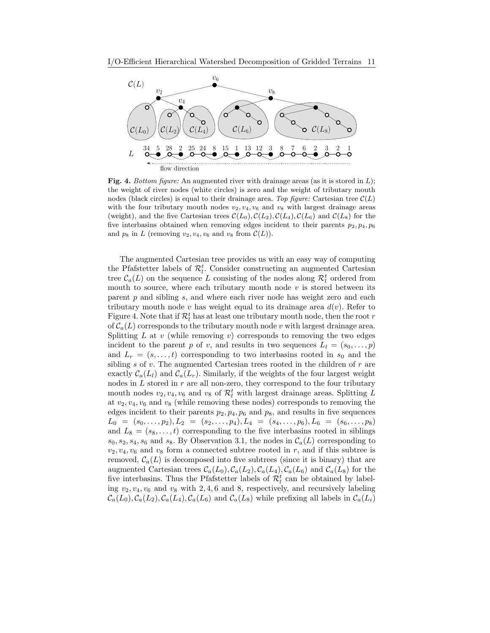

**Fig. 4.** Bottom figure: An augmented river with drainage areas (as it is stored in  $L$ ); the weight of river nodes (white circles) is zero and the weight of tributary mouth nodes (black circles) is equal to their drainage area. Top figure: Cartesian tree  $\mathcal{C}(L)$ with the four tributary mouth nodes  $v_2, v_4, v_6$  and  $v_8$  with largest drainage areas (weight), and the five Cartesian trees  $\mathcal{C}(L_0), \mathcal{C}(L_2), \mathcal{C}(L_4), \mathcal{C}(L_6)$  and  $\mathcal{C}(L_8)$  for the five interbasins obtained when removing edges incident to their parents  $p_2, p_4, p_6$ and  $p_8$  in L (removing  $v_2, v_4, v_6$  and  $v_8$  from  $\mathcal{C}(L)$ ).

The augmented Cartesian tree provides us with an easy way of computing the Pfafstetter labels of  $\mathcal{R}_l^t$ . Consider constructing an augmented Cartesian tree  $\mathcal{C}_a(L)$  on the sequence L consisting of the nodes along  $\mathcal{R}_l^t$  ordered from mouth to source, where each tributary mouth node  $v$  is stored between its parent  $p$  and sibling  $s$ , and where each river node has weight zero and each tributary mouth node v has weight equal to its drainage area  $d(v)$ . Refer to Figure 4. Note that if  $\mathcal{R}_l^t$  has at least one tributary mouth node, then the root  $r$ of  $C_a(L)$  corresponds to the tributary mouth node v with largest drainage area. Splitting  $L$  at  $v$  (while removing  $v$ ) corresponds to removing the two edges incident to the parent p of v, and results in two sequences  $L_l = (s_0, \ldots, p)$ and  $L_r = (s, \ldots, t)$  corresponding to two interbasins rooted in  $s_0$  and the sibling  $s$  of  $v$ . The augmented Cartesian trees rooted in the children of  $r$  are exactly  $C_a(L_l)$  and  $C_a(L_r)$ . Similarly, if the weights of the four largest weight nodes in  $L$  stored in  $r$  are all non-zero, they correspond to the four tributary mouth nodes  $v_2, v_4, v_6$  and  $v_8$  of  $\mathcal{R}_l^t$  with largest drainage areas. Splitting L at  $v_2, v_4, v_6$  and  $v_8$  (while removing these nodes) corresponds to removing the edges incident to their parents  $p_2, p_4, p_6$  and  $p_8$ , and results in five sequences  $L_0 = (s_0, \ldots, p_2), L_2 = (s_2, \ldots, p_4), L_4 = (s_4, \ldots, p_6), L_6 = (s_6, \ldots, p_8)$ and  $L_8 = (s_8, \ldots, t)$  corresponding to the five interbasins rooted in siblings  $s_0, s_2, s_4, s_6$  and  $s_8$ . By Observation 3.1, the nodes in  $\mathcal{C}_a(L)$  corresponding to  $v_2, v_4, v_6$  and  $v_8$  form a connected subtree rooted in r, and if this subtree is removed,  $\mathcal{C}_a(L)$  is decomposed into five subtrees (since it is binary) that are augmented Cartesian trees  $C_a(L_0), C_a(L_2), C_a(L_4), C_a(L_6)$  and  $C_a(L_8)$  for the five interbasins. Thus the Pfafstetter labels of  $\mathcal{R}_l^t$  can be obtained by labeling  $v_2, v_4, v_6$  and  $v_8$  with 2, 4, 6 and 8, respectively, and recursively labeling  $\mathcal{C}_a(L_0), \mathcal{C}_a(L_2), \mathcal{C}_a(L_4), \mathcal{C}_a(L_6)$  and  $\mathcal{C}_a(L_8)$  while prefixing all labels in  $\mathcal{C}_a(L_i)$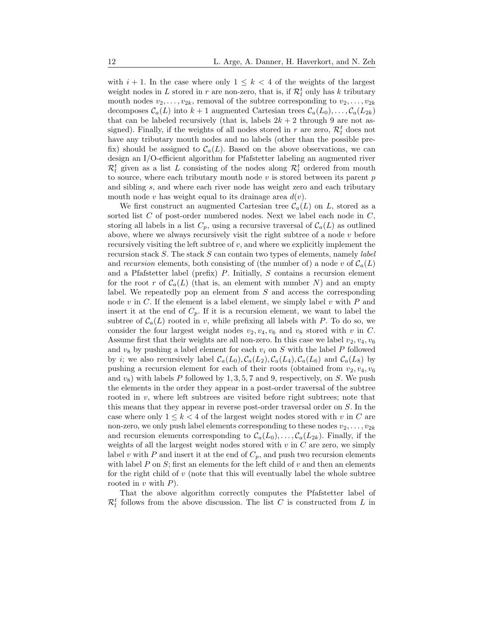with  $i + 1$ . In the case where only  $1 \leq k < 4$  of the weights of the largest weight nodes in L stored in r are non-zero, that is, if  $\mathcal{R}_l^t$  only has k tributary mouth nodes  $v_2, \ldots, v_{2k}$ , removal of the subtree corresponding to  $v_2, \ldots, v_{2k}$ decomposes  $C_a(L)$  into  $k+1$  augmented Cartesian trees  $C_a(L_0), \ldots, C_a(L_{2k})$ that can be labeled recursively (that is, labels  $2k + 2$  through 9 are not assigned). Finally, if the weights of all nodes stored in  $r$  are zero,  $\mathcal{R}_l^t$  does not have any tributary mouth nodes and no labels (other than the possible prefix) should be assigned to  $C_a(L)$ . Based on the above observations, we can design an I/O-efficient algorithm for Pfafstetter labeling an augmented river  $\mathcal{R}_l^t$  given as a list L consisting of the nodes along  $\mathcal{R}_l^t$  ordered from mouth to source, where each tributary mouth node  $v$  is stored between its parent  $p$ and sibling s, and where each river node has weight zero and each tributary mouth node v has weight equal to its drainage area  $d(v)$ .

We first construct an augmented Cartesian tree  $\mathcal{C}_a(L)$  on L, stored as a sorted list  $C$  of post-order numbered nodes. Next we label each node in  $C$ , storing all labels in a list  $C_p$ , using a recursive traversal of  $C_a(L)$  as outlined above, where we always recursively visit the right subtree of a node  $v$  before recursively visiting the left subtree of  $v$ , and where we explicitly implement the recursion stack  $S$ . The stack  $S$  can contain two types of elements, namely *label* and recursion elements, both consisting of (the number of) a node v of  $C_a(L)$ and a Pfafstetter label (prefix) P. Initially, S contains a recursion element for the root r of  $C_a(L)$  (that is, an element with number N) and an empty label. We repeatedly pop an element from S and access the corresponding node  $v$  in  $C$ . If the element is a label element, we simply label  $v$  with  $P$  and insert it at the end of  $C_p$ . If it is a recursion element, we want to label the subtree of  $C_a(L)$  rooted in v, while prefixing all labels with P. To do so, we consider the four largest weight nodes  $v_2, v_4, v_6$  and  $v_8$  stored with v in C. Assume first that their weights are all non-zero. In this case we label  $v_2, v_4, v_6$ and  $v_8$  by pushing a label element for each  $v_i$  on S with the label P followed by *i*; we also recursively label  $C_a(L_0), C_a(L_2), C_a(L_4), C_a(L_6)$  and  $C_a(L_8)$  by pushing a recursion element for each of their roots (obtained from  $v_2, v_4, v_6$ and  $v_8$ ) with labels P followed by 1, 3, 5, 7 and 9, respectively, on S. We push the elements in the order they appear in a post-order traversal of the subtree rooted in  $v$ , where left subtrees are visited before right subtrees; note that this means that they appear in reverse post-order traversal order on S. In the case where only  $1 \leq k < 4$  of the largest weight nodes stored with v in C are non-zero, we only push label elements corresponding to these nodes  $v_2, \ldots, v_{2k}$ and recursion elements corresponding to  $\mathcal{C}_a(L_0), \ldots, \mathcal{C}_a(L_{2k})$ . Finally, if the weights of all the largest weight nodes stored with  $v$  in  $C$  are zero, we simply label v with P and insert it at the end of  $C_p$ , and push two recursion elements with label  $P$  on  $S$ ; first an elements for the left child of  $v$  and then an elements for the right child of  $v$  (note that this will eventually label the whole subtree rooted in  $v$  with  $P$ ).

That the above algorithm correctly computes the Pfafstetter label of  $\mathcal{R}_l^t$  follows from the above discussion. The list C is constructed from L in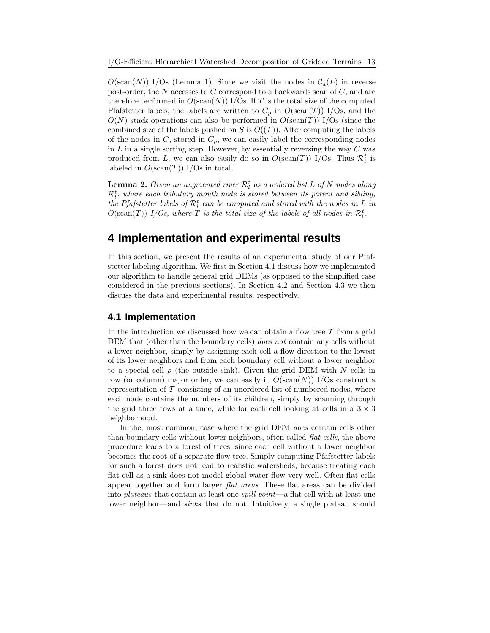$O(\operatorname{scan}(N))$  I/Os (Lemma 1). Since we visit the nodes in  $C_a(L)$  in reverse post-order, the  $N$  accesses to  $C$  correspond to a backwards scan of  $C$ , and are therefore performed in  $O(\text{scan}(N))$  I/Os. If T is the total size of the computed Pfafstetter labels, the labels are written to  $C_p$  in  $O(\text{scan}(T))$  I/Os, and the  $O(N)$  stack operations can also be performed in  $O(\text{scan}(T))$  I/Os (since the combined size of the labels pushed on S is  $O((T))$ . After computing the labels of the nodes in  $C$ , stored in  $C_p$ , we can easily label the corresponding nodes in  $L$  in a single sorting step. However, by essentially reversing the way  $C$  was produced from L, we can also easily do so in  $O(\operatorname{scan}(T))$  I/Os. Thus  $\mathcal{R}_l^t$  is labeled in  $O(\operatorname{scan}(T))$  I/Os in total.

**Lemma 2.** Given an augmented river  $\mathcal{R}_l^t$  as a ordered list L of N nodes along  $\mathcal{R}_l^t$ , where each tributary mouth node is stored between its parent and sibling, the Pfafstetter labels of  $\mathcal{R}_l^t$  can be computed and stored with the nodes in L in  $O(\operatorname{scan}(T))$  I/Os, where T is the total size of the labels of all nodes in  $\mathcal{R}_l^t$ .

## **4 Implementation and experimental results**

In this section, we present the results of an experimental study of our Pfafstetter labeling algorithm. We first in Section 4.1 discuss how we implemented our algorithm to handle general grid DEMs (as opposed to the simplified case considered in the previous sections). In Section 4.2 and Section 4.3 we then discuss the data and experimental results, respectively.

## **4.1 Implementation**

In the introduction we discussed how we can obtain a flow tree  $\mathcal T$  from a grid DEM that (other than the boundary cells) *does not* contain any cells without a lower neighbor, simply by assigning each cell a flow direction to the lowest of its lower neighbors and from each boundary cell without a lower neighbor to a special cell  $\rho$  (the outside sink). Given the grid DEM with N cells in row (or column) major order, we can easily in  $O(\text{scan}(N))$  I/Os construct a representation of  $\mathcal T$  consisting of an unordered list of numbered nodes, where each node contains the numbers of its children, simply by scanning through the grid three rows at a time, while for each cell looking at cells in a  $3 \times 3$ neighborhood.

In the, most common, case where the grid DEM *does* contain cells other than boundary cells without lower neighbors, often called flat cells, the above procedure leads to a forest of trees, since each cell without a lower neighbor becomes the root of a separate flow tree. Simply computing Pfafstetter labels for such a forest does not lead to realistic watersheds, because treating each flat cell as a sink does not model global water flow very well. Often flat cells appear together and form larger flat areas. These flat areas can be divided into plateaus that contain at least one spill point—a flat cell with at least one lower neighbor—and *sinks* that do not. Intuitively, a single plateau should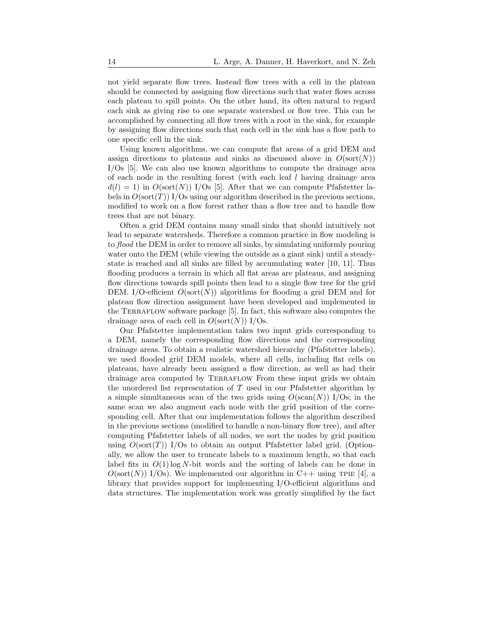not yield separate flow trees. Instead flow trees with a cell in the plateau should be connected by assigning flow directions such that water flows across each plateau to spill points. On the other hand, its often natural to regard each sink as giving rise to one separate watershed or flow tree. This can be accomplished by connecting all flow trees with a root in the sink, for example by assigning flow directions such that each cell in the sink has a flow path to one specific cell in the sink.

Using known algorithms, we can compute flat areas of a grid DEM and assign directions to plateaus and sinks as discussed above in  $O(\text{sort}(N))$ I/Os [5]. We can also use known algorithms to compute the drainage area of each node in the resulting forest (with each leaf  $l$  having drainage area  $d(l) = 1$  in  $O(\text{sort}(N))$  I/Os [5]. After that we can compute Pfafstetter labels in  $O(\text{sort}(T))$  I/Os using our algorithm described in the previous sections, modified to work on a flow forest rather than a flow tree and to handle flow trees that are not binary.

Often a grid DEM contains many small sinks that should intuitively not lead to separate watersheds. Therefore a common practice in flow modeling is to flood the DEM in order to remove all sinks, by simulating uniformly pouring water onto the DEM (while viewing the outside as a giant sink) until a steadystate is reached and all sinks are filled by accumulating water [10, 11]. Thus flooding produces a terrain in which all flat areas are plateaus, and assigning flow directions towards spill points then lead to a single flow tree for the grid DEM. I/O-efficient  $O(\text{sort}(N))$  algorithms for flooding a grid DEM and for plateau flow direction assignment have been developed and implemented in the Terraflow software package [5]. In fact, this software also computes the drainage area of each cell in  $O(\text{sort}(N))$  I/Os.

Our Pfafstetter implementation takes two input grids corresponding to a DEM, namely the corresponding flow directions and the corresponding drainage areas. To obtain a realistic watershed hierarchy (Pfafstetter labels), we used flooded grid DEM models, where all cells, including flat cells on plateaus, have already been assigned a flow direction, as well as had their drainage area computed by TERRAFLOW From these input grids we obtain the unordered list representation of  $\mathcal T$  used in our Pfafstetter algorithm by a simple simultaneous scan of the two grids using  $O(\text{scan}(N))$  I/Os; in the same scan we also augment each node with the grid position of the corresponding cell. After that our implementation follows the algorithm described in the previous sections (modified to handle a non-binary flow tree), and after computing Pfafstetter labels of all nodes, we sort the nodes by grid position using  $O(\text{sort}(T))$  I/Os to obtain an output Pfafstetter label grid. (Optionally, we allow the user to truncate labels to a maximum length, so that each label fits in  $O(1)$  log N-bit words and the sorting of labels can be done in  $O(\text{sort}(N))$  I/Os). We implemented our algorithm in C++ using TPIE [4], a library that provides support for implementing I/O-efficient algorithms and data structures. The implementation work was greatly simplified by the fact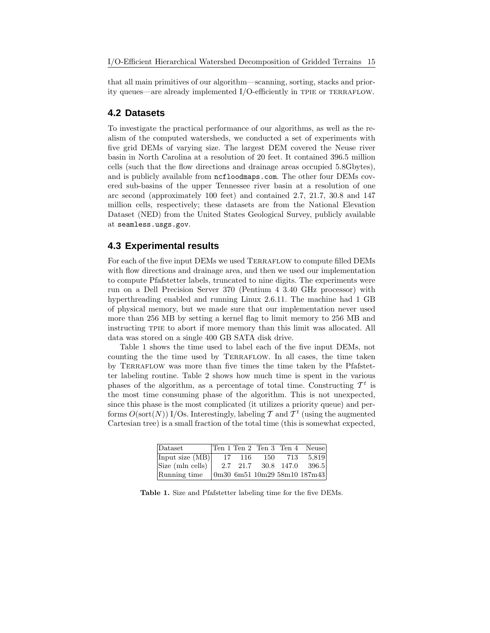that all main primitives of our algorithm—scanning, sorting, stacks and priority queues—are already implemented I/O-efficiently in TPIE or TERRAFLOW.

### **4.2 Datasets**

To investigate the practical performance of our algorithms, as well as the realism of the computed watersheds, we conducted a set of experiments with five grid DEMs of varying size. The largest DEM covered the Neuse river basin in North Carolina at a resolution of 20 feet. It contained 396.5 million cells (such that the flow directions and drainage areas occupied 5.8Gbytes), and is publicly available from ncfloodmaps.com. The other four DEMs covered sub-basins of the upper Tennessee river basin at a resolution of one arc second (approximately 100 feet) and contained 2.7, 21.7, 30.8 and 147 million cells, respectively; these datasets are from the National Elevation Dataset (NED) from the United States Geological Survey, publicly available at seamless.usgs.gov.

## **4.3 Experimental results**

For each of the five input DEMs we used TERRAFLOW to compute filled DEMs with flow directions and drainage area, and then we used our implementation to compute Pfafstetter labels, truncated to nine digits. The experiments were run on a Dell Precision Server 370 (Pentium 4 3.40 GHz processor) with hyperthreading enabled and running Linux 2.6.11. The machine had 1 GB of physical memory, but we made sure that our implementation never used more than 256 MB by setting a kernel flag to limit memory to 256 MB and instructing tpie to abort if more memory than this limit was allocated. All data was stored on a single 400 GB SATA disk drive.

Table 1 shows the time used to label each of the five input DEMs, not counting the the time used by TERRAFLOW. In all cases, the time taken by Terraflow was more than five times the time taken by the Pfafstetter labeling routine. Table 2 shows how much time is spent in the various phases of the algorithm, as a percentage of total time. Constructing  $\mathcal{T}^t$  is the most time consuming phase of the algorithm. This is not unexpected, since this phase is the most complicated (it utilizes a priority queue) and performs  $O(\text{sort}(N))$  I/Os. Interestingly, labeling T and  $T<sup>t</sup>$  (using the augmented Cartesian tree) is a small fraction of the total time (this is somewhat expected,

| Dataset          |    |         |     |     | Ten 1 Ten 2 Ten 3 Ten 4 Neuse       |
|------------------|----|---------|-----|-----|-------------------------------------|
| Input size (MB)  | 17 | - 116 - | 150 | 713 | 5,819                               |
| Size (mln cells) |    |         |     |     | $2.7$ $21.7$ $30.8$ $147.0$ $396.5$ |
| Running time     |    |         |     |     | 0m30 6m51 10m29 58m10 187m43        |

Table 1. Size and Pfafstetter labeling time for the five DEMs.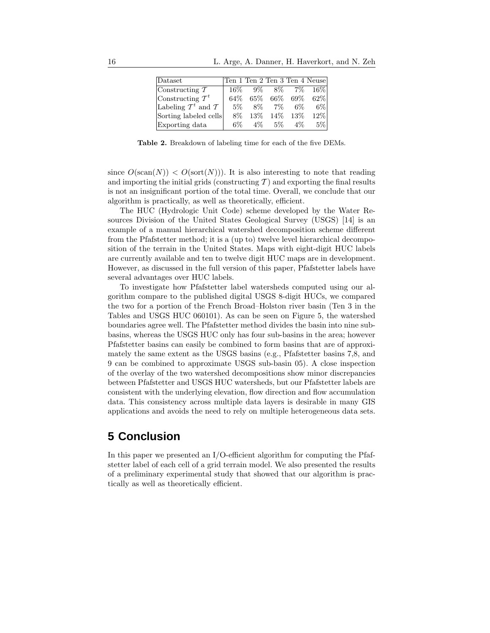| Dataset                                    |        |        |       |           | Ten 1 Ten 2 Ten 3 Ten 4 Neuse |
|--------------------------------------------|--------|--------|-------|-----------|-------------------------------|
| Constructing $\tau$                        | $16\%$ | $9\%$  | 8%    | 7%        | $16\%$                        |
| Constructing $\mathcal{T}^t$               | 64%    | $65\%$ |       | 66% 69%   | $62\%$                        |
| Labeling $\mathcal{T}^t$ and $\mathcal{T}$ | 5%     | 8%     | $7\%$ | $6\%$     | $6\%$                         |
| Sorting labeled cells                      | 8%     | $13\%$ |       | 14\% 13\% | $12\%$                        |
| Exporting data                             | 6%     | $4\%$  | $5\%$ | $4\%$     | $5\%$                         |

Table 2. Breakdown of labeling time for each of the five DEMs.

since  $O(\text{scan}(N)) < O(\text{sort}(N))$ . It is also interesting to note that reading and importing the initial grids (constructing  $T$ ) and exporting the final results is not an insignificant portion of the total time. Overall, we conclude that our algorithm is practically, as well as theoretically, efficient.

The HUC (Hydrologic Unit Code) scheme developed by the Water Resources Division of the United States Geological Survey (USGS) [14] is an example of a manual hierarchical watershed decomposition scheme different from the Pfafstetter method; it is a (up to) twelve level hierarchical decomposition of the terrain in the United States. Maps with eight-digit HUC labels are currently available and ten to twelve digit HUC maps are in development. However, as discussed in the full version of this paper, Pfafstetter labels have several advantages over HUC labels.

To investigate how Pfafstetter label watersheds computed using our algorithm compare to the published digital USGS 8-digit HUCs, we compared the two for a portion of the French Broad–Holston river basin (Ten 3 in the Tables and USGS HUC 060101). As can be seen on Figure 5, the watershed boundaries agree well. The Pfafstetter method divides the basin into nine subbasins, whereas the USGS HUC only has four sub-basins in the area; however Pfafstetter basins can easily be combined to form basins that are of approximately the same extent as the USGS basins (e.g., Pfafstetter basins 7,8, and 9 can be combined to approximate USGS sub-basin 05). A close inspection of the overlay of the two watershed decompositions show minor discrepancies between Pfafstetter and USGS HUC watersheds, but our Pfafstetter labels are consistent with the underlying elevation, flow direction and flow accumulation data. This consistency across multiple data layers is desirable in many GIS applications and avoids the need to rely on multiple heterogeneous data sets.

# **5 Conclusion**

In this paper we presented an I/O-efficient algorithm for computing the Pfafstetter label of each cell of a grid terrain model. We also presented the results of a preliminary experimental study that showed that our algorithm is practically as well as theoretically efficient.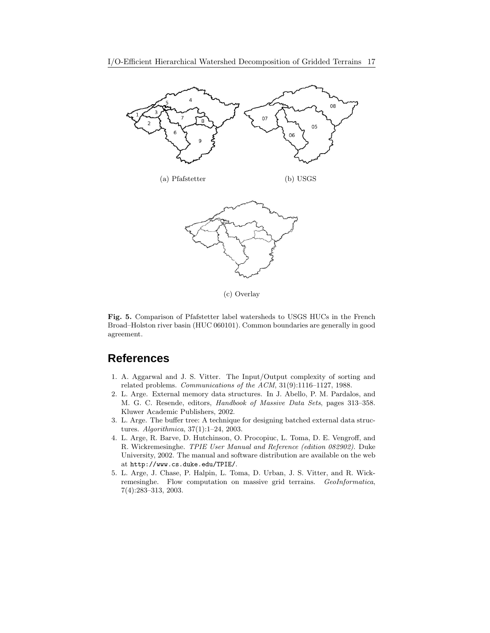

(c) Overlay

Fig. 5. Comparison of Pfafstetter label watersheds to USGS HUCs in the French Broad–Holston river basin (HUC 060101). Common boundaries are generally in good agreement.

# **References**

- 1. A. Aggarwal and J. S. Vitter. The Input/Output complexity of sorting and related problems. Communications of the ACM, 31(9):1116–1127, 1988.
- 2. L. Arge. External memory data structures. In J. Abello, P. M. Pardalos, and M. G. C. Resende, editors, Handbook of Massive Data Sets, pages 313–358. Kluwer Academic Publishers, 2002.
- 3. L. Arge. The buffer tree: A technique for designing batched external data structures. Algorithmica, 37(1):1–24, 2003.
- 4. L. Arge, R. Barve, D. Hutchinson, O. Procopiuc, L. Toma, D. E. Vengroff, and R. Wickremesinghe. TPIE User Manual and Reference (edition 082902). Duke University, 2002. The manual and software distribution are available on the web at http://www.cs.duke.edu/TPIE/.
- 5. L. Arge, J. Chase, P. Halpin, L. Toma, D. Urban, J. S. Vitter, and R. Wickremesinghe. Flow computation on massive grid terrains. GeoInformatica, 7(4):283–313, 2003.